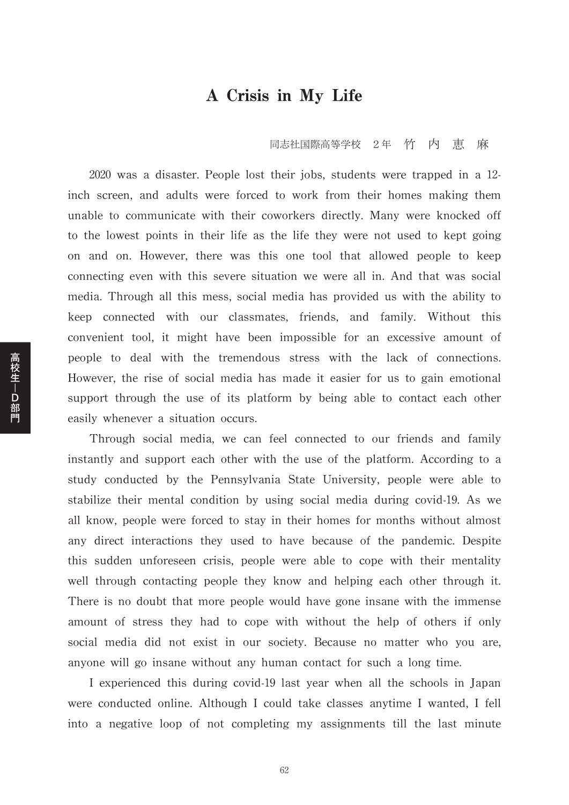## A Crisis in My Life

同志社国際高等学校 2年 竹 内 恵 麻

2020 was a disaster. People lost their jobs, students were trapped in a 12 inch screen, and adults were forced to work from their homes making them unable to communicate with their coworkers directly. Many were knocked off to the lowest points in their life as the life they were not used to kept going on and on. However, there was this one tool that allowed people to keep connecting even with this severe situation we were all in. And that was social media. Through all this mess, social media has provided us with the ability to keep connected with our classmates, friends, and family. Without this convenient tool, it might have been impossible for an excessive amount of people to deal with the tremendous stress with the lack of connections. However, the rise of social media has made it easier for us to gain emotional support through the use of its platform by being able to contact each other easily whenever a situation occurs.

Through social media, we can feel connected to our friends and family instantly and support each other with the use of the platform. According to a study conducted by the Pennsylvania State University, people were able to stabilize their mental condition by using social media during covid-19. As we all know, people were forced to stay in their homes for months without almost any direct interactions they used to have because of the pandemic. Despite this sudden unforeseen crisis, people were able to cope with their mentality well through contacting people they know and helping each other through it. There is no doubt that more people would have gone insane with the immense amount of stress they had to cope with without the help of others if only social media did not exist in our society. Because no matter who you are, anyone will go insane without any human contact for such a long time.

I experienced this during covid-19 last year when all the schools in Japan were conducted online. Although I could take classes anytime I wanted, I fell into a negative loop of not completing my assignments till the last minute

62